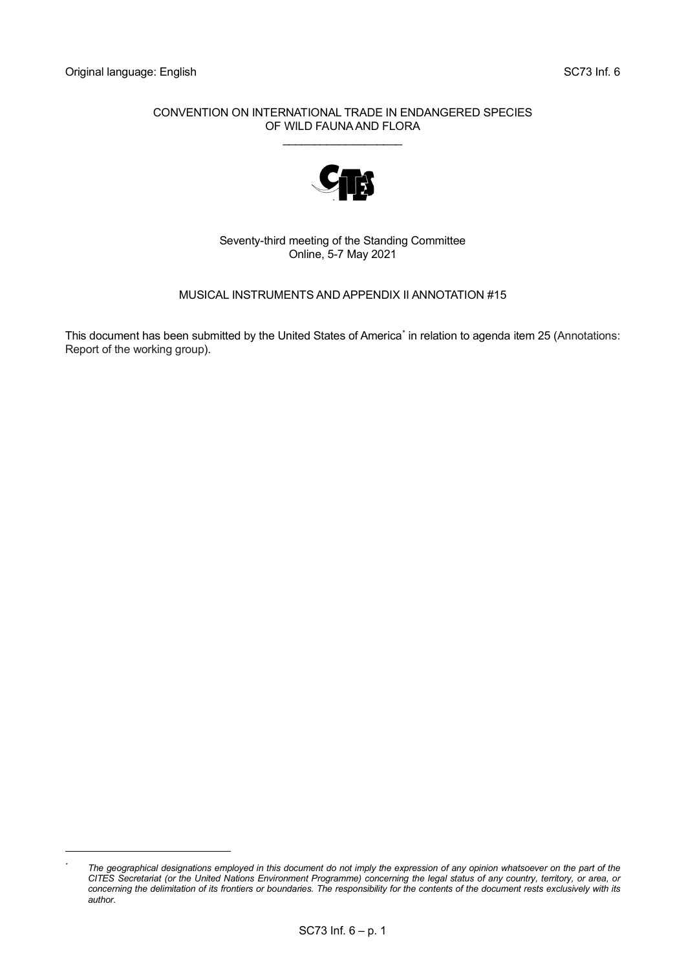#### CONVENTION ON INTERNATIONAL TRADE IN ENDANGERED SPECIES OF WILD FAUNA AND FLORA \_\_\_\_\_\_\_\_\_\_\_\_\_\_\_\_\_\_\_



Seventy-third meeting of the Standing Committee Online, 5-7 May 2021

# MUSICAL INSTRUMENTS AND APPENDIX II ANNOTATION #15

This document has been submitted by the United States of America<sup>[\\*](#page-0-0)</sup> in relation to agenda item 25 (Annotations: Report of the working group).

<span id="page-0-0"></span><sup>&</sup>lt;sup>\*</sup> The geographical designations employed in this document do not imply the expression of any opinion whatsoever on the part of the *CITES Secretariat (or the United Nations Environment Programme) concerning the legal status of any country, territory, or area, or concerning the delimitation of its frontiers or boundaries. The responsibility for the contents of the document rests exclusively with its author.*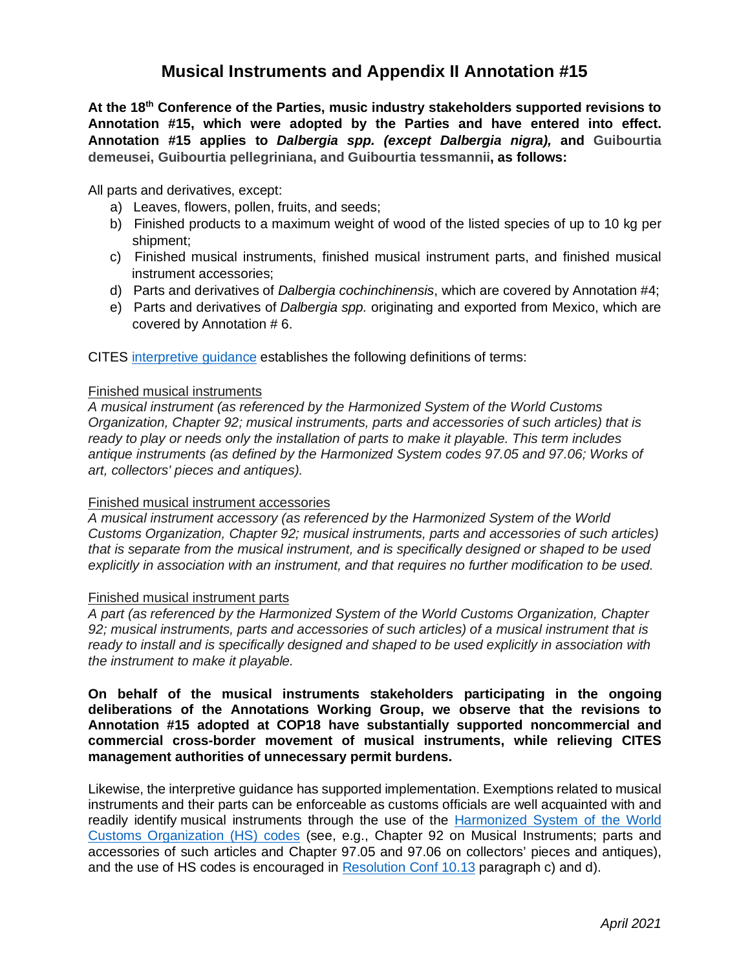# **Musical Instruments and Appendix II Annotation #15**

**At the 18th Conference of the Parties, music industry stakeholders supported revisions to Annotation #15, which were adopted by the Parties and have entered into effect. Annotation #15 applies to** *Dalbergia spp. (except Dalbergia nigra),* **and Guibourtia demeusei, Guibourtia pellegriniana, and Guibourtia tessmannii, as follows:**

All parts and derivatives, except:

- a) Leaves, flowers, pollen, fruits, and seeds;
- b) Finished products to a maximum weight of wood of the listed species of up to 10 kg per shipment;
- c) Finished musical instruments, finished musical instrument parts, and finished musical instrument accessories;
- d) Parts and derivatives of *Dalbergia cochinchinensis*, which are covered by Annotation #4;
- e) Parts and derivatives of *Dalbergia spp.* originating and exported from Mexico, which are covered by Annotation # 6.

CITES [interpretive guidance](https://cites.org/eng/app/appendices.php) establishes the following definitions of terms:

#### Finished musical instruments

*A musical instrument (as referenced by the Harmonized System of the World Customs Organization, Chapter 92; musical instruments, parts and accessories of such articles) that is ready to play or needs only the installation of parts to make it playable. This term includes antique instruments (as defined by the Harmonized System codes 97.05 and 97.06; Works of art, collectors' pieces and antiques).*

# Finished musical instrument accessories

*A musical instrument accessory (as referenced by the Harmonized System of the World Customs Organization, Chapter 92; musical instruments, parts and accessories of such articles) that is separate from the musical instrument, and is specifically designed or shaped to be used explicitly in association with an instrument, and that requires no further modification to be used.*

# Finished musical instrument parts

*A part (as referenced by the Harmonized System of the World Customs Organization, Chapter 92; musical instruments, parts and accessories of such articles) of a musical instrument that is ready to install and is specifically designed and shaped to be used explicitly in association with the instrument to make it playable.*

**On behalf of the musical instruments stakeholders participating in the ongoing deliberations of the Annotations Working Group, we observe that the revisions to Annotation #15 adopted at COP18 have substantially supported noncommercial and commercial cross-border movement of musical instruments, while relieving CITES management authorities of unnecessary permit burdens.**

Likewise, the interpretive guidance has supported implementation. Exemptions related to musical instruments and their parts can be enforceable as customs officials are well acquainted with and readily identify musical instruments through the use of the [Harmonized System of the World](https://hts.usitc.gov/current)  [Customs Organization \(HS\) codes](https://hts.usitc.gov/current) (see, e.g., Chapter 92 on Musical Instruments; parts and accessories of such articles and Chapter 97.05 and 97.06 on collectors' pieces and antiques), and the use of HS codes is encouraged in [Resolution Conf 10.13](https://cites.org/sites/default/files/document/E-Res-10-13-R18.pdf) paragraph c) and d).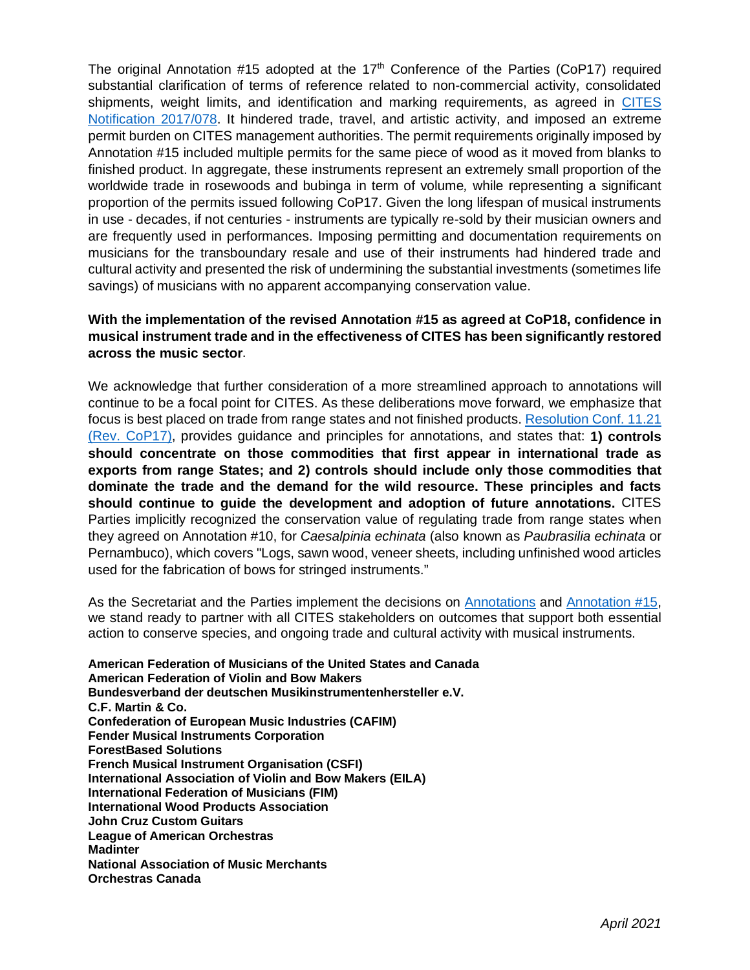The original Annotation #15 adopted at the  $17<sup>th</sup>$  Conference of the Parties (CoP17) required substantial clarification of terms of reference related to non-commercial activity, consolidated shipments, weight limits, and identification and marking requirements, as agreed in CITES [Notification 2017/078.](https://www.cites.org/sites/default/files/notif/E-Notif-2017-078.pdf) It hindered trade, travel, and artistic activity, and imposed an extreme permit burden on CITES management authorities. The permit requirements originally imposed by Annotation #15 included multiple permits for the same piece of wood as it moved from blanks to finished product. In aggregate, these instruments represent an extremely small proportion of the worldwide trade in rosewoods and bubinga in term of volume*,* while representing a significant proportion of the permits issued following CoP17. Given the long lifespan of musical instruments in use - decades, if not centuries - instruments are typically re-sold by their musician owners and are frequently used in performances. Imposing permitting and documentation requirements on musicians for the transboundary resale and use of their instruments had hindered trade and cultural activity and presented the risk of undermining the substantial investments (sometimes life savings) of musicians with no apparent accompanying conservation value.

# **With the implementation of the revised Annotation #15 as agreed at CoP18, confidence in musical instrument trade and in the effectiveness of CITES has been significantly restored across the music sector**.

We acknowledge that further consideration of a more streamlined approach to annotations will continue to be a focal point for CITES. As these deliberations move forward, we emphasize that focus is best placed on trade from range states and not finished products[. Resolution Conf. 11.21](https://cites-tsp.org/wp-content/uploads/2019/06/E-Res-11-21-R17-min.pdf)  [\(Rev. CoP17\),](https://cites-tsp.org/wp-content/uploads/2019/06/E-Res-11-21-R17-min.pdf) provides guidance and principles for annotations, and states that: **1) controls should concentrate on those commodities that first appear in international trade as exports from range States; and 2) controls should include only those commodities that dominate the trade and the demand for the wild resource. These principles and facts should continue to guide the development and adoption of future annotations.** CITES Parties implicitly recognized the conservation value of regulating trade from range states when they agreed on Annotation #10, for *Caesalpinia echinata* (also known as *Paubrasilia echinata* or Pernambuco), which covers "Logs, sawn wood, veneer sheets, including unfinished wood articles used for the fabrication of bows for stringed instruments."

As the Secretariat and the Parties implement the decisions on [Annotations](https://cites.org/eng/taxonomy/term/42113) and [Annotation #15,](https://cites.org/eng/taxonomy/term/42114) we stand ready to partner with all CITES stakeholders on outcomes that support both essential action to conserve species, and ongoing trade and cultural activity with musical instruments.

**American Federation of Musicians of the United States and Canada American Federation of Violin and Bow Makers Bundesverband der deutschen Musikinstrumentenhersteller e.V. C.F. Martin & Co. Confederation of European Music Industries (CAFIM) Fender Musical Instruments Corporation ForestBased Solutions French Musical Instrument Organisation (CSFI) International Association of Violin and Bow Makers (EILA) International Federation of Musicians (FIM) International Wood Products Association John Cruz Custom Guitars League of American Orchestras Madinter National Association of Music Merchants Orchestras Canada**